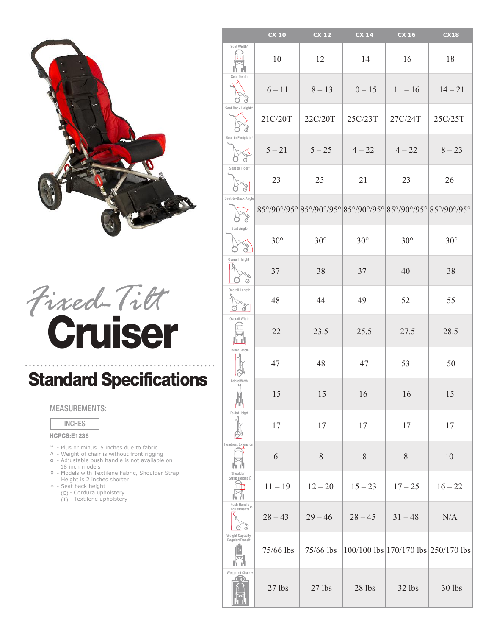

# Cruiser *Fixed-Tilt*

## Standard Specifications

### MEASUREMENTS:

INCHES

#### HCPCS:E1236

- \* Plus or minus .5 inches due to fabric
- ∆ Weight of chair is without front rigging
- ° Adjustable push handle is not available on 18 inch models
- $\Diamond$ - Models with Textilene Fabric, Shoulder Strap Height is 2 inches shorter
- $\wedge$  Seat back height
	- (C) Cordura upholstery
- (C) Cordura upholstery<br>(T) Textilene upholstery

|                                                     | <b>CX 10</b> | <b>CX 12</b> | <b>CX 14</b>                                                | CX 16      | <b>CX18</b>                               |
|-----------------------------------------------------|--------------|--------------|-------------------------------------------------------------|------------|-------------------------------------------|
| Seat Width*                                         | 10           | 12           | 14                                                          | 16         | 18                                        |
| Seat Depth                                          | $6 - 11$     | $8 - 13$     | $10 - 15$                                                   | $11 - 16$  | $14 - 21$                                 |
| Seat Back Height^                                   | 21C/20T      | 22C/20T      | 25C/23T                                                     | 27C/24T    | 25C/25T                                   |
| Seat to Footplate*                                  | $5 - 21$     | $5 - 25$     | $4 - 22$                                                    | $4 - 22$   | $8 - 23$                                  |
| Seat to Floor*                                      | 23           | 25           | 21                                                          | 23         | 26                                        |
| Seat-to-Back Angle                                  |              |              | 85°/90°/95° 85°/90°/95° 85°/90°/95° 85°/90°/95° 85°/90°/95° |            |                                           |
| Seat Angle                                          | $30^\circ$   | $30^\circ$   | $30^\circ$                                                  | $30^\circ$ | $30^\circ$                                |
| Overall Height                                      | 37           | 38           | 37                                                          | 40         | 38                                        |
| Overall Length                                      | 48           | 44           | 49                                                          | 52         | 55                                        |
| Overall Width                                       | 22           | 23.5         | 25.5                                                        | 27.5       | 28.5                                      |
| <b>Folded Length</b>                                | 47           | 48           | 47                                                          | 53         | 50                                        |
| <b>Folded Width</b>                                 | 15           | 15           | 16                                                          | 16         | 15                                        |
| <b>Folded Height</b>                                | 17           | 17           | 17                                                          | 17         | 17                                        |
| <b>Headrest Extension</b>                           | 6            | 8            | 8                                                           | 8          | 10                                        |
| Shoulder<br>Strap Height $\Diamond$                 | $11 - 19$    | $12 - 20$    | $15 - 23$                                                   | $17 - 25$  | $16 - 22$                                 |
| Push Handle<br>Adjustments <sup>O</sup>             | $28 - 43$    | $29 - 46$    | $28 - 45$                                                   | $31 - 48$  | N/A                                       |
| <b>Weight Capacity</b><br>Regular/Transit           | 75/66 lbs    | 75/66 lbs    |                                                             |            | $100/100$ lbs $170/170$ lbs $250/170$ lbs |
| Weight of Chair A<br>$\overline{\overline{}}$ (lbs. | 27 lbs       | 27 lbs       | 28 lbs                                                      | 32 lbs     | 30 lbs                                    |